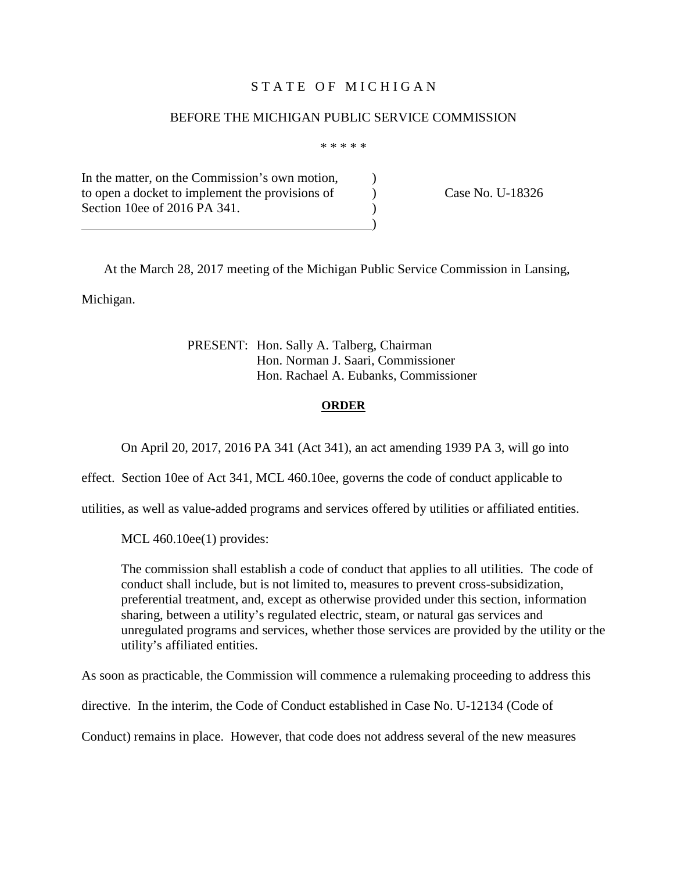#### STATE OF MICHIGAN

#### BEFORE THE MICHIGAN PUBLIC SERVICE COMMISSION

\* \* \* \* \*

In the matter, on the Commission's own motion, to open a docket to implement the provisions of Case No. U-18326 Section 10ee of 2016 PA 341. )

At the March 28, 2017 meeting of the Michigan Public Service Commission in Lansing, Michigan.

> PRESENT: Hon. Sally A. Talberg, Chairman Hon. Norman J. Saari, Commissioner Hon. Rachael A. Eubanks, Commissioner

#### **ORDER**

On April 20, 2017, 2016 PA 341 (Act 341), an act amending 1939 PA 3, will go into

effect. Section 10ee of Act 341, MCL 460.10ee, governs the code of conduct applicable to

utilities, as well as value-added programs and services offered by utilities or affiliated entities.

MCL 460.10ee(1) provides:

The commission shall establish a code of conduct that applies to all utilities. The code of conduct shall include, but is not limited to, measures to prevent cross-subsidization, preferential treatment, and, except as otherwise provided under this section, information sharing, between a utility's regulated electric, steam, or natural gas services and unregulated programs and services, whether those services are provided by the utility or the utility's affiliated entities.

As soon as practicable, the Commission will commence a rulemaking proceeding to address this

directive. In the interim, the Code of Conduct established in Case No. U-12134 (Code of

Conduct) remains in place. However, that code does not address several of the new measures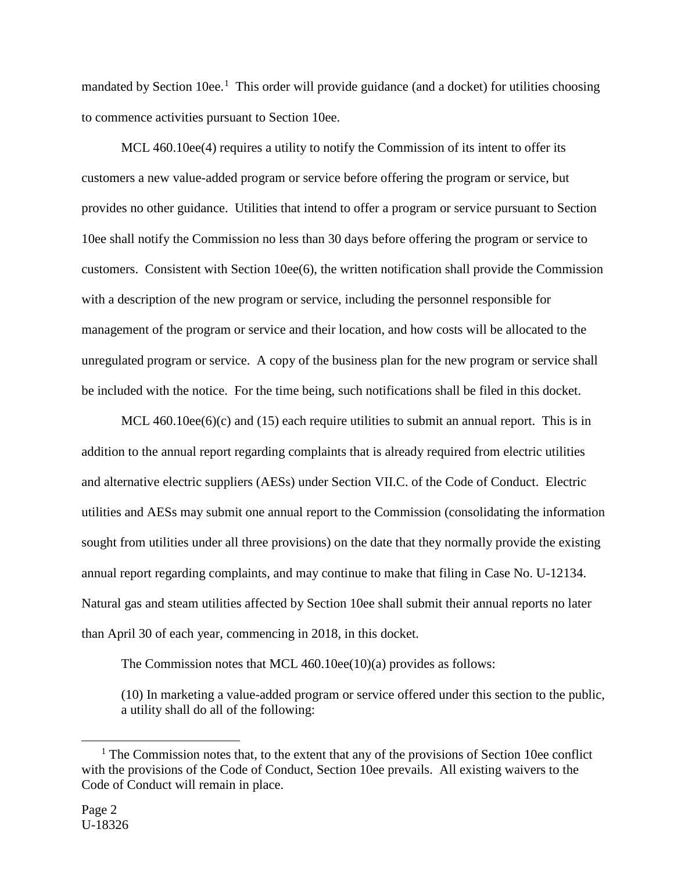mandated by Section [1](#page-1-0)0ee.<sup>1</sup> This order will provide guidance (and a docket) for utilities choosing to commence activities pursuant to Section 10ee.

MCL 460.10ee(4) requires a utility to notify the Commission of its intent to offer its customers a new value-added program or service before offering the program or service, but provides no other guidance. Utilities that intend to offer a program or service pursuant to Section 10ee shall notify the Commission no less than 30 days before offering the program or service to customers. Consistent with Section 10ee(6), the written notification shall provide the Commission with a description of the new program or service, including the personnel responsible for management of the program or service and their location, and how costs will be allocated to the unregulated program or service. A copy of the business plan for the new program or service shall be included with the notice. For the time being, such notifications shall be filed in this docket.

MCL  $460.10ee(6)(c)$  and  $(15)$  each require utilities to submit an annual report. This is in addition to the annual report regarding complaints that is already required from electric utilities and alternative electric suppliers (AESs) under Section VII.C. of the Code of Conduct. Electric utilities and AESs may submit one annual report to the Commission (consolidating the information sought from utilities under all three provisions) on the date that they normally provide the existing annual report regarding complaints, and may continue to make that filing in Case No. U-12134. Natural gas and steam utilities affected by Section 10ee shall submit their annual reports no later than April 30 of each year, commencing in 2018, in this docket.

The Commission notes that MCL 460.10ee(10)(a) provides as follows:

(10) In marketing a value-added program or service offered under this section to the public, a utility shall do all of the following:

-

<span id="page-1-0"></span> $<sup>1</sup>$  The Commission notes that, to the extent that any of the provisions of Section 10ee conflict</sup> with the provisions of the Code of Conduct, Section 10ee prevails. All existing waivers to the Code of Conduct will remain in place.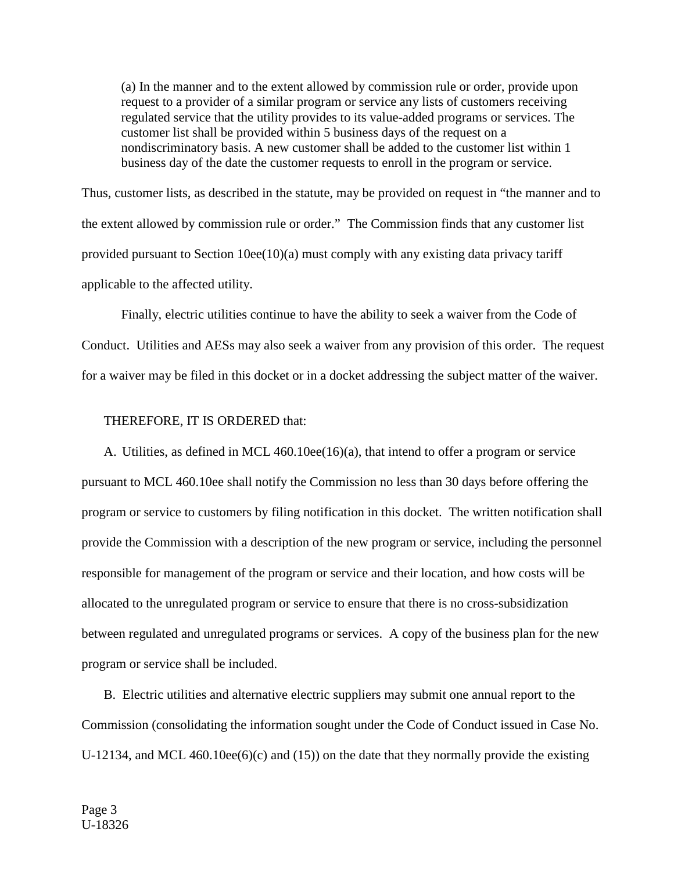(a) In the manner and to the extent allowed by commission rule or order, provide upon request to a provider of a similar program or service any lists of customers receiving regulated service that the utility provides to its value-added programs or services. The customer list shall be provided within 5 business days of the request on a nondiscriminatory basis. A new customer shall be added to the customer list within 1 business day of the date the customer requests to enroll in the program or service.

Thus, customer lists, as described in the statute, may be provided on request in "the manner and to the extent allowed by commission rule or order." The Commission finds that any customer list provided pursuant to Section 10ee(10)(a) must comply with any existing data privacy tariff applicable to the affected utility.

Finally, electric utilities continue to have the ability to seek a waiver from the Code of Conduct. Utilities and AESs may also seek a waiver from any provision of this order. The request for a waiver may be filed in this docket or in a docket addressing the subject matter of the waiver.

#### THEREFORE, IT IS ORDERED that:

A. Utilities, as defined in MCL 460.10ee(16)(a), that intend to offer a program or service pursuant to MCL 460.10ee shall notify the Commission no less than 30 days before offering the program or service to customers by filing notification in this docket. The written notification shall provide the Commission with a description of the new program or service, including the personnel responsible for management of the program or service and their location, and how costs will be allocated to the unregulated program or service to ensure that there is no cross-subsidization between regulated and unregulated programs or services. A copy of the business plan for the new program or service shall be included.

B. Electric utilities and alternative electric suppliers may submit one annual report to the Commission (consolidating the information sought under the Code of Conduct issued in Case No. U-12134, and MCL 460.10ee(6)(c) and (15)) on the date that they normally provide the existing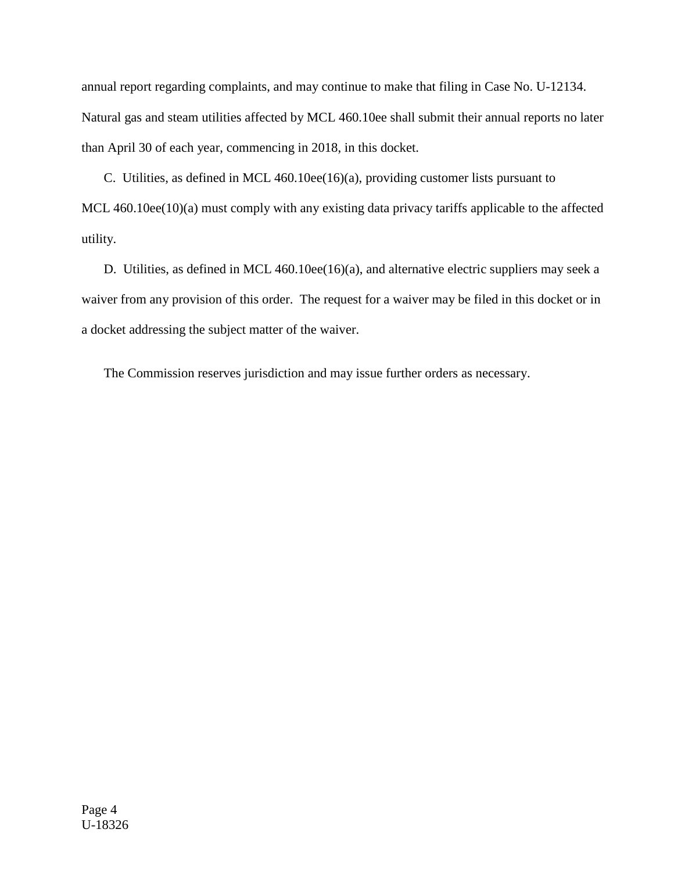annual report regarding complaints, and may continue to make that filing in Case No. U-12134. Natural gas and steam utilities affected by MCL 460.10ee shall submit their annual reports no later than April 30 of each year, commencing in 2018, in this docket.

C. Utilities, as defined in MCL 460.10ee(16)(a), providing customer lists pursuant to MCL 460.10ee(10)(a) must comply with any existing data privacy tariffs applicable to the affected utility.

D. Utilities, as defined in MCL 460.10ee(16)(a), and alternative electric suppliers may seek a waiver from any provision of this order. The request for a waiver may be filed in this docket or in a docket addressing the subject matter of the waiver.

The Commission reserves jurisdiction and may issue further orders as necessary.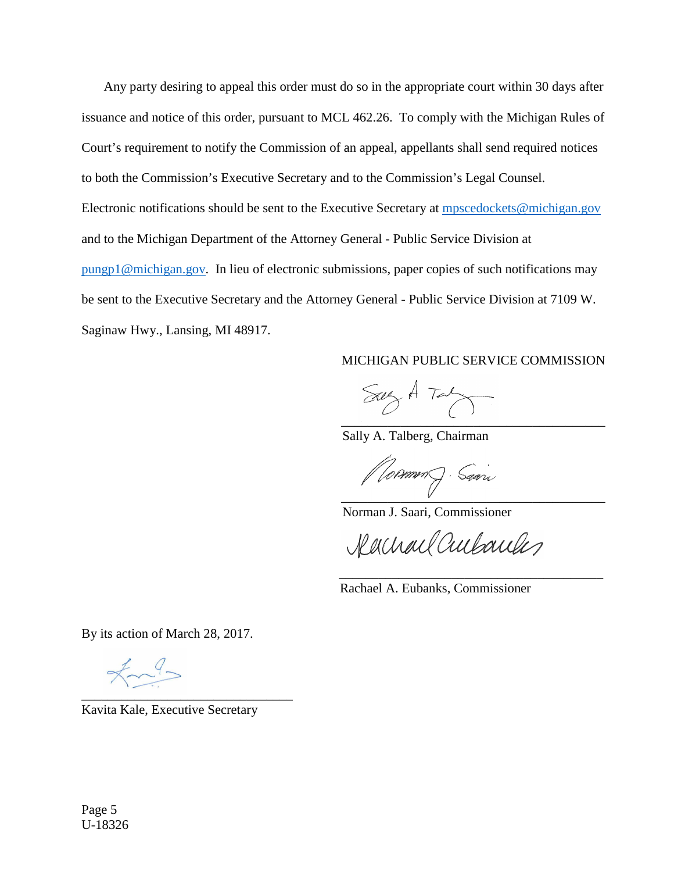Any party desiring to appeal this order must do so in the appropriate court within 30 days after issuance and notice of this order, pursuant to MCL 462.26. To comply with the Michigan Rules of Court's requirement to notify the Commission of an appeal, appellants shall send required notices to both the Commission's Executive Secretary and to the Commission's Legal Counsel. Electronic notifications should be sent to the Executive Secretary at [mpscedockets@michigan.gov](mailto:mpscedockets@michigan.gov) and to the Michigan Department of the Attorney General - Public Service Division at [pungp1@michigan.gov.](mailto:pungp1@michigan.gov) In lieu of electronic submissions, paper copies of such notifications may be sent to the Executive Secretary and the Attorney General - Public Service Division at 7109 W. Saginaw Hwy., Lansing, MI 48917.

#### MICHIGAN PUBLIC SERVICE COMMISSION

 $SayA Tay$ \_\_\_\_\_\_\_\_\_\_\_\_\_\_\_\_\_\_\_\_\_\_\_\_\_\_\_\_\_\_\_\_\_\_\_\_\_\_\_\_

Sally A. Talberg, Chairman

\_\_\_\_\_\_\_\_\_\_\_\_\_\_\_\_\_\_\_\_\_\_\_\_\_\_\_\_\_\_\_\_\_\_\_\_\_\_\_\_

Norman J. Saari, Commissioner

Rachael Cultureles

Rachael A. Eubanks, Commissioner

 $\overline{\phantom{a}}$  ,  $\overline{\phantom{a}}$  ,  $\overline{\phantom{a}}$  ,  $\overline{\phantom{a}}$  ,  $\overline{\phantom{a}}$  ,  $\overline{\phantom{a}}$  ,  $\overline{\phantom{a}}$  ,  $\overline{\phantom{a}}$  ,  $\overline{\phantom{a}}$  ,  $\overline{\phantom{a}}$  ,  $\overline{\phantom{a}}$  ,  $\overline{\phantom{a}}$  ,  $\overline{\phantom{a}}$  ,  $\overline{\phantom{a}}$  ,  $\overline{\phantom{a}}$  ,  $\overline{\phantom{a}}$ 

By its action of March 28, 2017.

 $\star \sim 9$ \_\_\_\_\_\_\_\_\_\_\_\_\_\_\_\_\_\_\_\_\_\_\_\_\_\_\_\_\_\_\_\_

Kavita Kale, Executive Secretary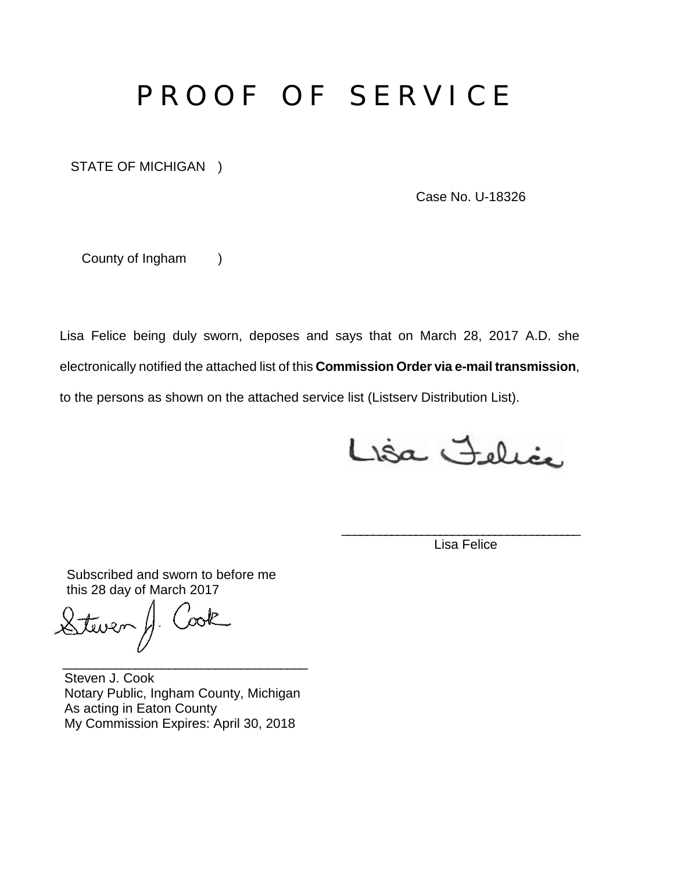# P R O O F O F S E R V I C E

STATE OF MICHIGAN )

Case No. U-18326

County of Ingham )

Lisa Felice being duly sworn, deposes and says that on March 28, 2017 A.D. she electronically notified the attached list of this **Commission Order via e-mail transmission**, to the persons as shown on the attached service list (Listserv Distribution List).

Lisa Felice

\_\_\_\_\_\_\_\_\_\_\_\_\_\_\_\_\_\_\_\_\_\_\_\_\_\_\_\_\_\_\_\_\_\_\_\_\_\_\_ Lisa Felice

Subscribed and sworn to before me this 28 day of March 2017

Cook Steven H.

Steven J. Cook Notary Public, Ingham County, Michigan As acting in Eaton County My Commission Expires: April 30, 2018

\_\_\_\_\_\_\_\_\_\_\_\_\_\_\_\_\_\_\_\_\_\_\_\_\_\_\_\_\_\_\_\_\_\_\_\_\_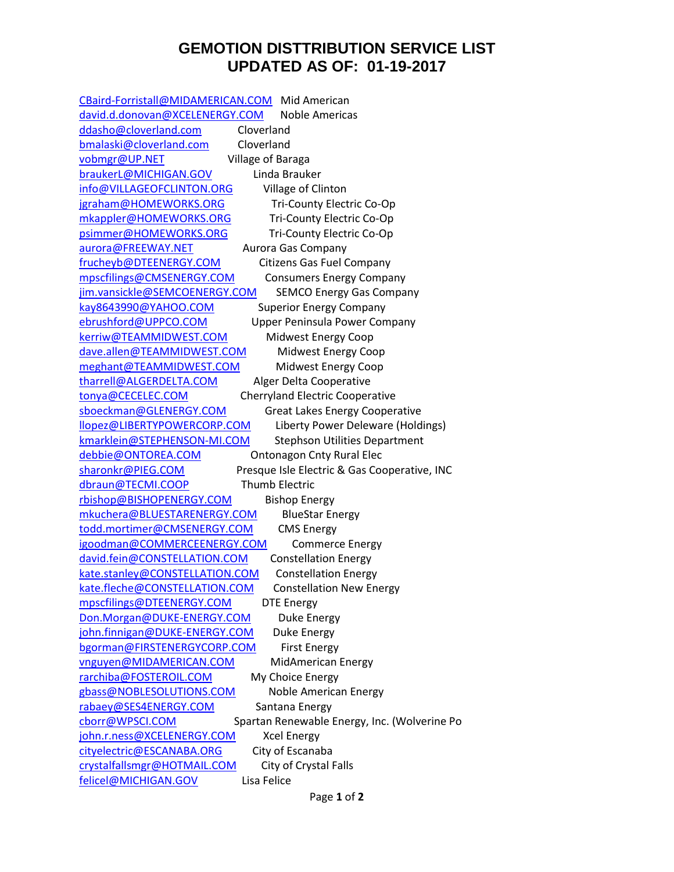### **GEMOTION DISTTRIBUTION SERVICE LIST UPDATED AS OF: 01-19-2017**

[CBaird-Forristall@MIDAMERICAN.COM](mailto:CBaird-Forristall@MIDAMERICAN.COM) Mid American [david.d.donovan@XCELENERGY.COM](mailto:david.d.donovan@XCELENERGY.COM) Noble Americas [ddasho@cloverland.com](mailto:ddasho@cloverland.com) Cloverland [bmalaski@cloverland.com](mailto:bmalaski@cloverland.com) Cloverland [vobmgr@UP.NET](mailto:vobmgr@UP.NET) Village of Baraga [braukerL@MICHIGAN.GOV](mailto:braukerL@MICHIGAN.GOV) Linda Brauker [info@VILLAGEOFCLINTON.ORG](mailto:info@VILLAGEOFCLINTON.ORG) Village of Clinton [jgraham@HOMEWORKS.ORG](mailto:jgraham@HOMEWORKS.ORG) Tri-County Electric Co-Op [mkappler@HOMEWORKS.ORG](mailto:mkappler@HOMEWORKS.ORG) Tri-County Electric Co-Op [psimmer@HOMEWORKS.ORG](mailto:psimmer@HOMEWORKS.ORG) Tri-County Electric Co-Op [aurora@FREEWAY.NET](mailto:aurora@FREEWAY.NET) Aurora Gas Company [frucheyb@DTEENERGY.COM](mailto:frucheyb@DTEENERGY.COM) Citizens Gas Fuel Company [mpscfilings@CMSENERGY.COM](mailto:mpscfilings@CMSENERGY.COM) Consumers Energy Company [jim.vansickle@SEMCOENERGY.COM](mailto:jim.vansickle@SEMCOENERGY.COM) SEMCO Energy Gas Company [kay8643990@YAHOO.COM](mailto:kay8643990@YAHOO.COM) Superior Energy Company [ebrushford@UPPCO.COM](mailto:ebrushford@UPPCO.COM) Upper Peninsula Power Company [kerriw@TEAMMIDWEST.COM](mailto:kerriw@TEAMMIDWEST.COM) Midwest Energy Coop [dave.allen@TEAMMIDWEST.COM](mailto:dave.allen@TEAMMIDWEST.COM) Midwest Energy Coop [meghant@TEAMMIDWEST.COM](mailto:meghant@TEAMMIDWEST.COM) Midwest Energy Coop [tharrell@ALGERDELTA.COM](mailto:tharrell@ALGERDELTA.COM) Alger Delta Cooperative [tonya@CECELEC.COM](mailto:tonya@CECELEC.COM) Cherryland Electric Cooperative [sboeckman@GLENERGY.COM](mailto:sboeckman@GLENERGY.COM) Great Lakes Energy Cooperative [llopez@LIBERTYPOWERCORP.COM](mailto:llopez@LIBERTYPOWERCORP.COM) Liberty Power Deleware (Holdings) [kmarklein@STEPHENSON-MI.COM](mailto:kmarklein@STEPHENSON-MI.COM) Stephson Utilities Department [debbie@ONTOREA.COM](mailto:debbie@ONTOREA.COM) Ontonagon Cnty Rural Elec [sharonkr@PIEG.COM](mailto:sharonkr@PIEG.COM) Presque Isle Electric & Gas Cooperative, INC [dbraun@TECMI.COOP](mailto:dbraun@TECMI.COOP) Thumb Electric [rbishop@BISHOPENERGY.COM](mailto:rbishop@BISHOPENERGY.COM) Bishop Energy [mkuchera@BLUESTARENERGY.COM](mailto:mkuchera@BLUESTARENERGY.COM) BlueStar Energy [todd.mortimer@CMSENERGY.COM](mailto:todd.mortimer@CMSENERGY.COM) CMS Energy [igoodman@COMMERCEENERGY.COM](mailto:igoodman@COMMERCEENERGY.COM) Commerce Energy [david.fein@CONSTELLATION.COM](mailto:david.fein@CONSTELLATION.COM) Constellation Energy [kate.stanley@CONSTELLATION.COM](mailto:kate.stanley@CONSTELLATION.COM) Constellation Energy [kate.fleche@CONSTELLATION.COM](mailto:kate.fleche@CONSTELLATION.COM) Constellation New Energy [mpscfilings@DTEENERGY.COM](mailto:mpscfilings@DTEENERGY.COM) DTE Energy [Don.Morgan@DUKE-ENERGY.COM](mailto:Don.Morgan@DUKE-ENERGY.COM) Duke Energy [john.finnigan@DUKE-ENERGY.COM](mailto:john.finnigan@DUKE-ENERGY.COM) Duke Energy [bgorman@FIRSTENERGYCORP.COM](mailto:bgorman@FIRSTENERGYCORP.COM) First Energy [vnguyen@MIDAMERICAN.COM](mailto:vnguyen@MIDAMERICAN.COM) MidAmerican Energy [rarchiba@FOSTEROIL.COM](mailto:rarchiba@FOSTEROIL.COM) My Choice Energy [gbass@NOBLESOLUTIONS.COM](mailto:gbass@NOBLESOLUTIONS.COM) Noble American Energy [rabaey@SES4ENERGY.COM](mailto:rabaey@SES4ENERGY.COM) Santana Energy [cborr@WPSCI.COM](mailto:cborr@WPSCI.COM) Spartan Renewable Energy, Inc. (Wolverine Po [john.r.ness@XCELENERGY.COM](mailto:john.r.ness@XCELENERGY.COM) Xcel Energy [cityelectric@ESCANABA.ORG](mailto:cityelectric@ESCANABA.ORG) City of Escanaba [crystalfallsmgr@HOTMAIL.COM](mailto:crystalfallsmgr@HOTMAIL.COM) City of Crystal Falls [felicel@MICHIGAN.GOV](mailto:felicel@MICHIGAN.GOV) Lisa Felice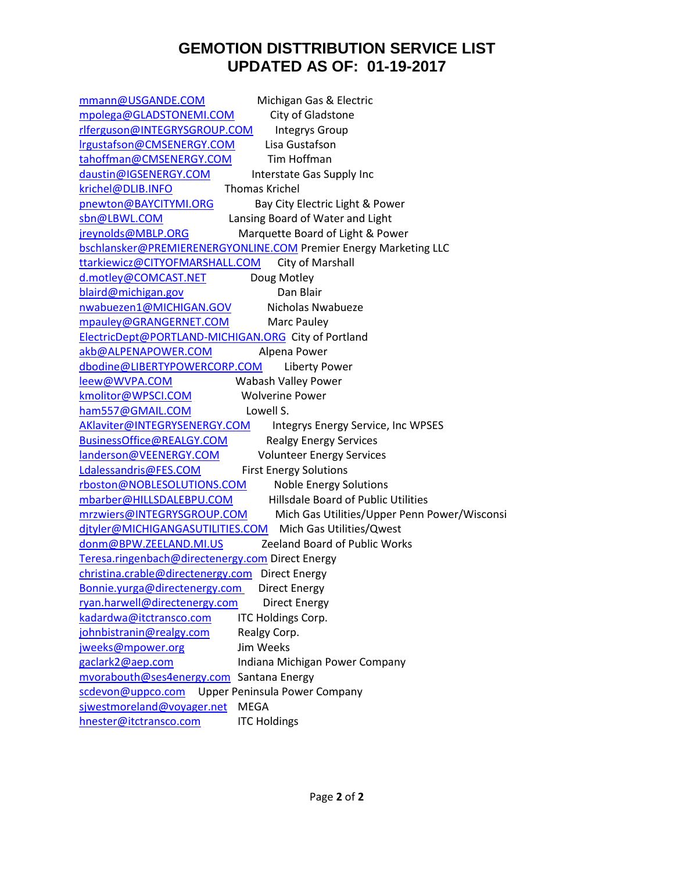## **GEMOTION DISTTRIBUTION SERVICE LIST UPDATED AS OF: 01-19-2017**

| mmann@USGANDE.COM                                   | Michigan Gas & Electric                                          |
|-----------------------------------------------------|------------------------------------------------------------------|
| mpolega@GLADSTONEMI.COM                             | City of Gladstone                                                |
| rlferguson@INTEGRYSGROUP.COM                        | <b>Integrys Group</b>                                            |
| Irgustafson@CMSENERGY.COM                           | Lisa Gustafson                                                   |
| tahoffman@CMSENERGY.COM                             | Tim Hoffman                                                      |
| daustin@IGSENERGY.COM                               | Interstate Gas Supply Inc                                        |
| krichel@DLIB.INFO                                   | <b>Thomas Krichel</b>                                            |
| pnewton@BAYCITYMI.ORG                               | Bay City Electric Light & Power                                  |
| sbn@LBWL.COM                                        | Lansing Board of Water and Light                                 |
| jreynolds@MBLP.ORG                                  | Marquette Board of Light & Power                                 |
|                                                     | bschlansker@PREMIERENERGYONLINE.COM Premier Energy Marketing LLC |
| ttarkiewicz@CITYOFMARSHALL.COM                      | City of Marshall                                                 |
| d.motley@COMCAST.NET                                | Doug Motley                                                      |
| blaird@michigan.gov                                 | Dan Blair                                                        |
| nwabuezen1@MICHIGAN.GOV                             | Nicholas Nwabueze                                                |
| mpauley@GRANGERNET.COM                              | Marc Pauley                                                      |
| ElectricDept@PORTLAND-MICHIGAN.ORG City of Portland |                                                                  |
| akb@ALPENAPOWER.COM                                 | Alpena Power                                                     |
| dbodine@LIBERTYPOWERCORP.COM                        | <b>Liberty Power</b>                                             |
| leew@WVPA.COM                                       | Wabash Valley Power                                              |
| kmolitor@WPSCI.COM                                  | <b>Wolverine Power</b>                                           |
| ham557@GMAIL.COM                                    | Lowell S.                                                        |
| AKlaviter@INTEGRYSENERGY.COM                        | Integrys Energy Service, Inc WPSES                               |
| BusinessOffice@REALGY.COM                           | <b>Realgy Energy Services</b>                                    |
| landerson@VEENERGY.COM                              | <b>Volunteer Energy Services</b>                                 |
| Ldalessandris@FES.COM                               | <b>First Energy Solutions</b>                                    |
| rboston@NOBLESOLUTIONS.COM                          | <b>Noble Energy Solutions</b>                                    |
| mbarber@HILLSDALEBPU.COM                            | Hillsdale Board of Public Utilities                              |
| mrzwiers@INTEGRYSGROUP.COM                          | Mich Gas Utilities/Upper Penn Power/Wisconsi                     |
|                                                     | dityler@MICHIGANGASUTILITIES.COM Mich Gas Utilities/Qwest        |
| donm@BPW.ZEELAND.MI.US                              | Zeeland Board of Public Works                                    |
| Teresa.ringenbach@directenergy.com Direct Energy    |                                                                  |
| christina.crable@directenergy.com Direct Energy     |                                                                  |
| Bonnie.yurga@directenergy.com Direct Energy         |                                                                  |
| ryan.harwell@directenergy.com                       | <b>Direct Energy</b>                                             |
| kadardwa@itctransco.com                             | ITC Holdings Corp.                                               |
| johnbistranin@realgy.com                            | Realgy Corp.                                                     |
| jweeks@mpower.org                                   | Jim Weeks                                                        |
| gaclark2@aep.com                                    | Indiana Michigan Power Company                                   |
| mvorabouth@ses4energy.com Santana Energy            |                                                                  |
| scdevon@uppco.com                                   | Upper Peninsula Power Company                                    |
| sjwestmoreland@voyager.net                          | <b>MEGA</b>                                                      |
| hnester@itctransco.com                              | <b>ITC Holdings</b>                                              |